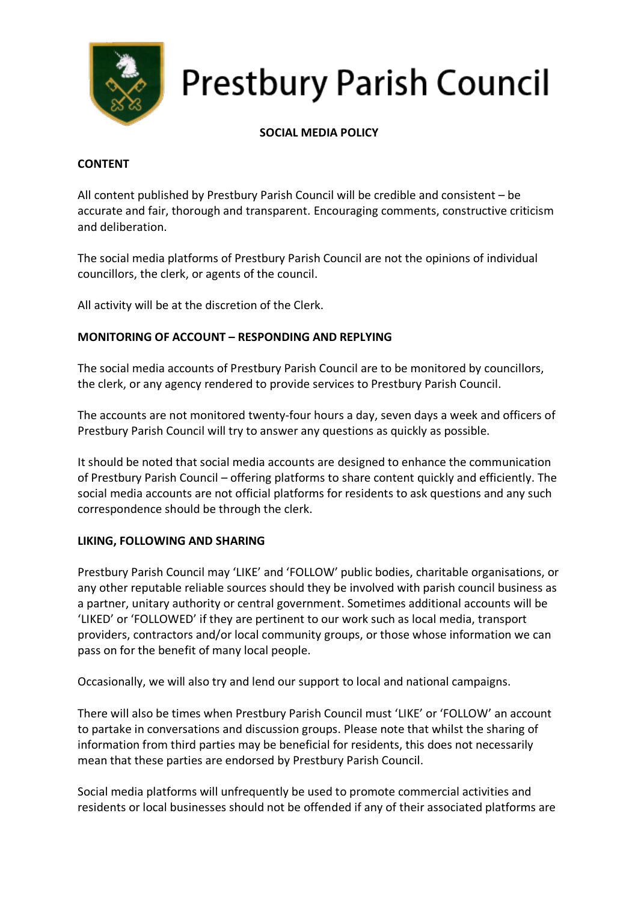

# **Prestbury Parish Council**

## **SOCIAL MEDIA POLICY**

### **CONTENT**

All content published by Prestbury Parish Council will be credible and consistent – be accurate and fair, thorough and transparent. Encouraging comments, constructive criticism and deliberation.

The social media platforms of Prestbury Parish Council are not the opinions of individual councillors, the clerk, or agents of the council.

All activity will be at the discretion of the Clerk.

## **MONITORING OF ACCOUNT – RESPONDING AND REPLYING**

The social media accounts of Prestbury Parish Council are to be monitored by councillors, the clerk, or any agency rendered to provide services to Prestbury Parish Council.

The accounts are not monitored twenty-four hours a day, seven days a week and officers of Prestbury Parish Council will try to answer any questions as quickly as possible.

It should be noted that social media accounts are designed to enhance the communication of Prestbury Parish Council – offering platforms to share content quickly and efficiently. The social media accounts are not official platforms for residents to ask questions and any such correspondence should be through the clerk.

## **LIKING, FOLLOWING AND SHARING**

Prestbury Parish Council may 'LIKE' and 'FOLLOW' public bodies, charitable organisations, or any other reputable reliable sources should they be involved with parish council business as a partner, unitary authority or central government. Sometimes additional accounts will be 'LIKED' or 'FOLLOWED' if they are pertinent to our work such as local media, transport providers, contractors and/or local community groups, or those whose information we can pass on for the benefit of many local people.

Occasionally, we will also try and lend our support to local and national campaigns.

There will also be times when Prestbury Parish Council must 'LIKE' or 'FOLLOW' an account to partake in conversations and discussion groups. Please note that whilst the sharing of information from third parties may be beneficial for residents, this does not necessarily mean that these parties are endorsed by Prestbury Parish Council.

Social media platforms will unfrequently be used to promote commercial activities and residents or local businesses should not be offended if any of their associated platforms are